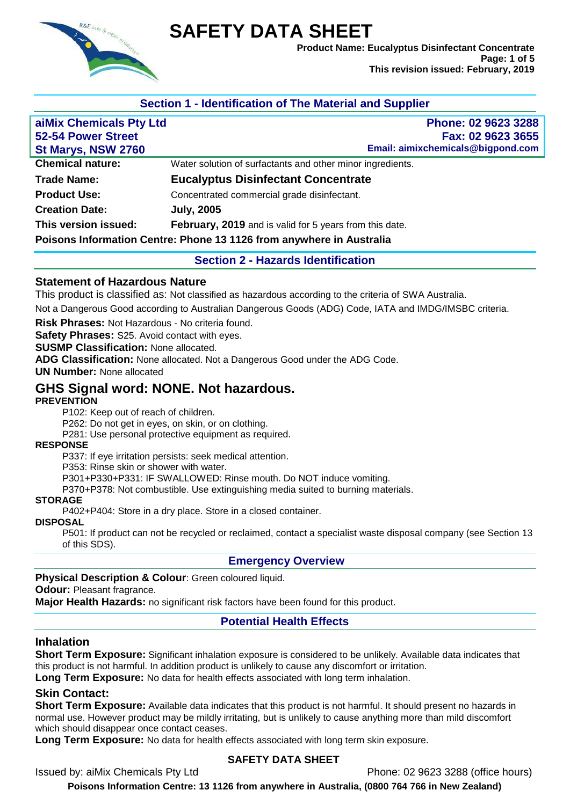

# **SAFETY DATA SHEET**

**Product Name: Eucalyptus Disinfectant Concentrate Page: 1 of 5 This revision issued: February, 2019**

# **Section 1 - Identification of The Material and Supplier**

| aiMix Chemicals Pty Ltd                                              | Phone: 02 9623 3288                                        |  |  |
|----------------------------------------------------------------------|------------------------------------------------------------|--|--|
| 52-54 Power Street                                                   | Fax: 02 9623 3655                                          |  |  |
| St Marys, NSW 2760                                                   | Email: aimixchemicals@bigpond.com                          |  |  |
| <b>Chemical nature:</b>                                              | Water solution of surfactants and other minor ingredients. |  |  |
| <b>Trade Name:</b>                                                   | <b>Eucalyptus Disinfectant Concentrate</b>                 |  |  |
| <b>Product Use:</b>                                                  | Concentrated commercial grade disinfectant.                |  |  |
| <b>Creation Date:</b>                                                | <b>July, 2005</b>                                          |  |  |
| This version issued:                                                 | February, 2019 and is valid for 5 years from this date.    |  |  |
| Poisons Information Centre: Phone 13 1126 from anywhere in Australia |                                                            |  |  |

#### **Section 2 - Hazards Identification**

#### **Statement of Hazardous Nature**

This product is classified as: Not classified as hazardous according to the criteria of SWA Australia.

Not a Dangerous Good according to Australian Dangerous Goods (ADG) Code, IATA and IMDG/IMSBC criteria.

**Risk Phrases:** Not Hazardous - No criteria found.

**Safety Phrases:** S25. Avoid contact with eyes.

**SUSMP Classification:** None allocated.

**ADG Classification:** None allocated. Not a Dangerous Good under the ADG Code.

**UN Number:** None allocated

# **GHS Signal word: NONE. Not hazardous.**

#### **PREVENTION**

P102: Keep out of reach of children.

P262: Do not get in eyes, on skin, or on clothing.

P281: Use personal protective equipment as required.

#### **RESPONSE**

P337: If eye irritation persists: seek medical attention.

P353: Rinse skin or shower with water.

P301+P330+P331: IF SWALLOWED: Rinse mouth. Do NOT induce vomiting.

P370+P378: Not combustible. Use extinguishing media suited to burning materials.

#### **STORAGE**

P402+P404: Store in a dry place. Store in a closed container.

# **DISPOSAL**

P501: If product can not be recycled or reclaimed, contact a specialist waste disposal company (see Section 13 of this SDS).

#### **Emergency Overview**

#### **Physical Description & Colour**: Green coloured liquid.

**Odour:** Pleasant fragrance.

**Major Health Hazards:** no significant risk factors have been found for this product.

#### **Potential Health Effects**

#### **Inhalation**

**Short Term Exposure:** Significant inhalation exposure is considered to be unlikely. Available data indicates that this product is not harmful. In addition product is unlikely to cause any discomfort or irritation.

**Long Term Exposure:** No data for health effects associated with long term inhalation.

#### **Skin Contact:**

**Short Term Exposure:** Available data indicates that this product is not harmful. It should present no hazards in normal use. However product may be mildly irritating, but is unlikely to cause anything more than mild discomfort which should disappear once contact ceases.

**Long Term Exposure:** No data for health effects associated with long term skin exposure.

#### **SAFETY DATA SHEET**

Issued by: aiMix Chemicals Pty Ltd Phone: 02 9623 3288 (office hours)

**Poisons Information Centre: 13 1126 from anywhere in Australia, (0800 764 766 in New Zealand)**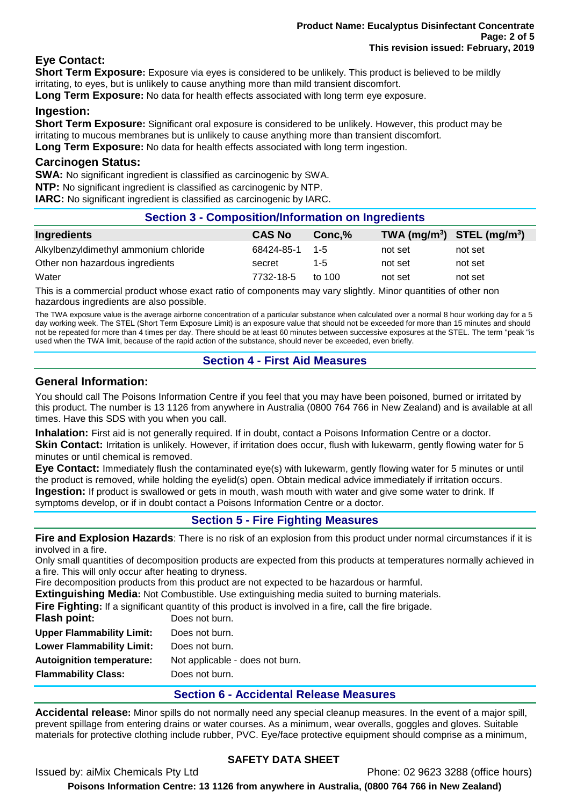# **Eye Contact:**

**Short Term Exposure:** Exposure via eyes is considered to be unlikely. This product is believed to be mildly irritating, to eyes, but is unlikely to cause anything more than mild transient discomfort.

**Long Term Exposure:** No data for health effects associated with long term eye exposure.

## **Ingestion:**

**Short Term Exposure:** Significant oral exposure is considered to be unlikely. However, this product may be irritating to mucous membranes but is unlikely to cause anything more than transient discomfort. **Long Term Exposure:** No data for health effects associated with long term ingestion.

### **Carcinogen Status:**

**SWA:** No significant ingredient is classified as carcinogenic by SWA.

**NTP:** No significant ingredient is classified as carcinogenic by NTP.

**IARC:** No significant ingredient is classified as carcinogenic by IARC.

# **Section 3 - Composition/Information on Ingredients**

| Ingredients                           | <b>CAS No</b>  | Conc.% | TWA $(mg/m^3)$ STEL $(mg/m^3)$ |         |
|---------------------------------------|----------------|--------|--------------------------------|---------|
| Alkylbenzyldimethyl ammonium chloride | 68424-85-1 1-5 |        | not set                        | not set |
| Other non hazardous ingredients       | secret         | 1-5    | not set                        | not set |
| Water                                 | 7732-18-5      | to 100 | not set                        | not set |

This is a commercial product whose exact ratio of components may vary slightly. Minor quantities of other non hazardous ingredients are also possible.

The TWA exposure value is the average airborne concentration of a particular substance when calculated over a normal 8 hour working day for a 5 day working week. The STEL (Short Term Exposure Limit) is an exposure value that should not be exceeded for more than 15 minutes and should not be repeated for more than 4 times per day. There should be at least 60 minutes between successive exposures at the STEL. The term "peak "is used when the TWA limit, because of the rapid action of the substance, should never be exceeded, even briefly.

# **Section 4 - First Aid Measures**

### **General Information:**

You should call The Poisons Information Centre if you feel that you may have been poisoned, burned or irritated by this product. The number is 13 1126 from anywhere in Australia (0800 764 766 in New Zealand) and is available at all times. Have this SDS with you when you call.

**Inhalation:** First aid is not generally required. If in doubt, contact a Poisons Information Centre or a doctor.

**Skin Contact:** Irritation is unlikely. However, if irritation does occur, flush with lukewarm, gently flowing water for 5 minutes or until chemical is removed.

**Eye Contact:** Immediately flush the contaminated eye(s) with lukewarm, gently flowing water for 5 minutes or until the product is removed, while holding the eyelid(s) open. Obtain medical advice immediately if irritation occurs. **Ingestion:** If product is swallowed or gets in mouth, wash mouth with water and give some water to drink. If symptoms develop, or if in doubt contact a Poisons Information Centre or a doctor.

**Section 5 - Fire Fighting Measures**

**Fire and Explosion Hazards**: There is no risk of an explosion from this product under normal circumstances if it is involved in a fire.

Only small quantities of decomposition products are expected from this products at temperatures normally achieved in a fire. This will only occur after heating to dryness.

Fire decomposition products from this product are not expected to be hazardous or harmful.

**Extinguishing Media:** Not Combustible. Use extinguishing media suited to burning materials.

**Fire Fighting:** If a significant quantity of this product is involved in a fire, call the fire brigade.

| Flash point:                     | Does not burn.                  |
|----------------------------------|---------------------------------|
| <b>Upper Flammability Limit:</b> | Does not burn.                  |
| <b>Lower Flammability Limit:</b> | Does not burn.                  |
| <b>Autoignition temperature:</b> | Not applicable - does not burn. |
| <b>Flammability Class:</b>       | Does not burn.                  |
|                                  |                                 |

# **Section 6 - Accidental Release Measures**

**Accidental release:** Minor spills do not normally need any special cleanup measures. In the event of a major spill, prevent spillage from entering drains or water courses. As a minimum, wear overalls, goggles and gloves. Suitable materials for protective clothing include rubber, PVC. Eye/face protective equipment should comprise as a minimum,

# **SAFETY DATA SHEET**

Issued by: aiMix Chemicals Pty Ltd Phone: 02 9623 3288 (office hours)

**Poisons Information Centre: 13 1126 from anywhere in Australia, (0800 764 766 in New Zealand)**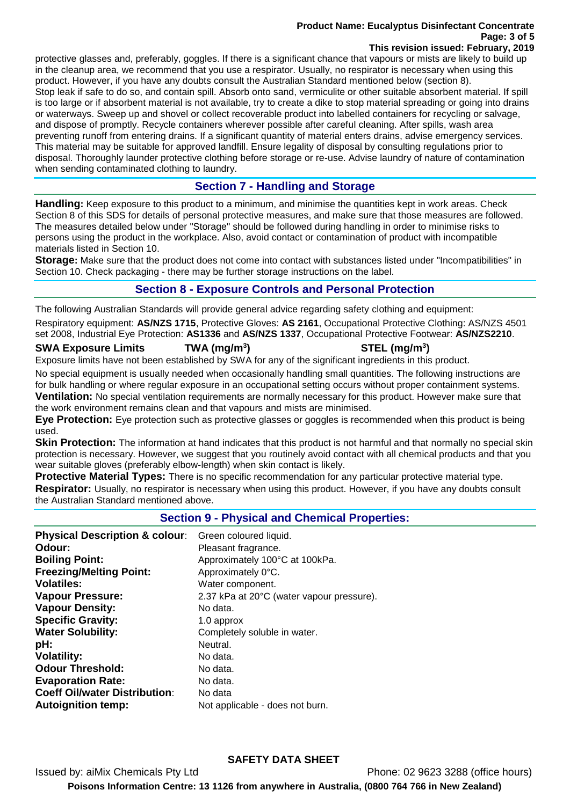#### **Product Name: Eucalyptus Disinfectant Concentrate Page: 3 of 5 This revision issued: February, 2019**

protective glasses and, preferably, goggles. If there is a significant chance that vapours or mists are likely to build up in the cleanup area, we recommend that you use a respirator. Usually, no respirator is necessary when using this product. However, if you have any doubts consult the Australian Standard mentioned below (section 8). Stop leak if safe to do so, and contain spill. Absorb onto sand, vermiculite or other suitable absorbent material. If spill is too large or if absorbent material is not available, try to create a dike to stop material spreading or going into drains or waterways. Sweep up and shovel or collect recoverable product into labelled containers for recycling or salvage, and dispose of promptly. Recycle containers wherever possible after careful cleaning. After spills, wash area preventing runoff from entering drains. If a significant quantity of material enters drains, advise emergency services. This material may be suitable for approved landfill. Ensure legality of disposal by consulting regulations prior to disposal. Thoroughly launder protective clothing before storage or re-use. Advise laundry of nature of contamination when sending contaminated clothing to laundry.

# **Section 7 - Handling and Storage**

**Handling:** Keep exposure to this product to a minimum, and minimise the quantities kept in work areas. Check Section 8 of this SDS for details of personal protective measures, and make sure that those measures are followed. The measures detailed below under "Storage" should be followed during handling in order to minimise risks to persons using the product in the workplace. Also, avoid contact or contamination of product with incompatible materials listed in Section 10.

**Storage:** Make sure that the product does not come into contact with substances listed under "Incompatibilities" in Section 10. Check packaging - there may be further storage instructions on the label.

# **Section 8 - Exposure Controls and Personal Protection**

The following Australian Standards will provide general advice regarding safety clothing and equipment:

Respiratory equipment: **AS/NZS 1715**, Protective Gloves: **AS 2161**, Occupational Protective Clothing: AS/NZS 4501 set 2008, Industrial Eye Protection: **AS1336** and **AS/NZS 1337**, Occupational Protective Footwear: **AS/NZS2210**.

### **SWA Exposure Limits TWA (mg/m<sup>3</sup>**

# **) STEL (mg/m<sup>3</sup> )**

Exposure limits have not been established by SWA for any of the significant ingredients in this product.

No special equipment is usually needed when occasionally handling small quantities. The following instructions are for bulk handling or where regular exposure in an occupational setting occurs without proper containment systems. **Ventilation:** No special ventilation requirements are normally necessary for this product. However make sure that the work environment remains clean and that vapours and mists are minimised.

**Eye Protection:** Eye protection such as protective glasses or goggles is recommended when this product is being used.

**Skin Protection:** The information at hand indicates that this product is not harmful and that normally no special skin protection is necessary. However, we suggest that you routinely avoid contact with all chemical products and that you wear suitable gloves (preferably elbow-length) when skin contact is likely.

**Protective Material Types:** There is no specific recommendation for any particular protective material type. **Respirator:** Usually, no respirator is necessary when using this product. However, if you have any doubts consult the Australian Standard mentioned above.

# **Section 9 - Physical and Chemical Properties:**

| <b>Physical Description &amp; colour:</b><br>Odour:<br><b>Boiling Point:</b> | Green coloured liquid.<br>Pleasant fragrance.<br>Approximately 100°C at 100kPa. |
|------------------------------------------------------------------------------|---------------------------------------------------------------------------------|
| <b>Freezing/Melting Point:</b>                                               | Approximately 0°C.                                                              |
| <b>Volatiles:</b>                                                            | Water component.                                                                |
| <b>Vapour Pressure:</b>                                                      | 2.37 kPa at 20°C (water vapour pressure).                                       |
| <b>Vapour Density:</b>                                                       | No data.                                                                        |
| <b>Specific Gravity:</b>                                                     | 1.0 approx                                                                      |
| <b>Water Solubility:</b>                                                     | Completely soluble in water.                                                    |
| pH:                                                                          | Neutral.                                                                        |
| <b>Volatility:</b>                                                           | No data.                                                                        |
| <b>Odour Threshold:</b>                                                      | No data.                                                                        |
| <b>Evaporation Rate:</b>                                                     | No data.                                                                        |
| <b>Coeff Oil/water Distribution:</b>                                         | No data                                                                         |
| <b>Autoignition temp:</b>                                                    | Not applicable - does not burn.                                                 |

# **SAFETY DATA SHEET**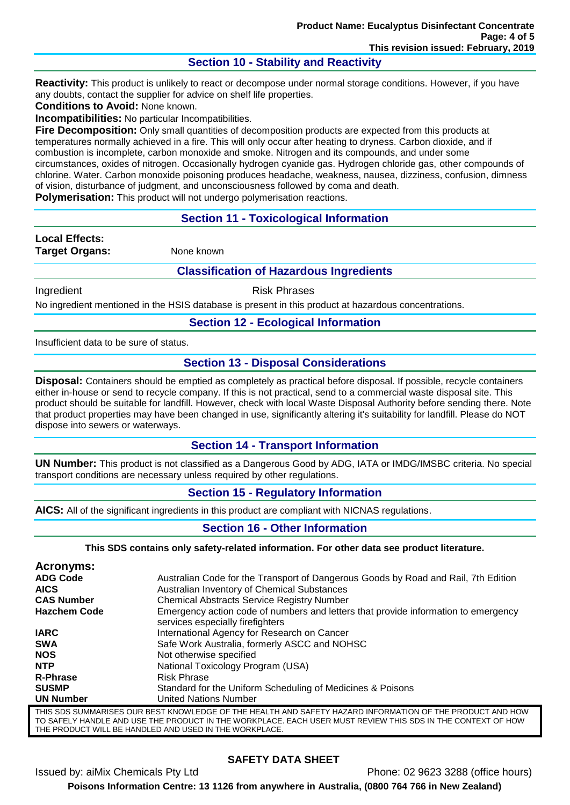## **Section 10 - Stability and Reactivity**

**Reactivity:** This product is unlikely to react or decompose under normal storage conditions. However, if you have any doubts, contact the supplier for advice on shelf life properties.

**Conditions to Avoid:** None known.

**Incompatibilities:** No particular Incompatibilities.

**Fire Decomposition:** Only small quantities of decomposition products are expected from this products at temperatures normally achieved in a fire. This will only occur after heating to dryness. Carbon dioxide, and if combustion is incomplete, carbon monoxide and smoke. Nitrogen and its compounds, and under some circumstances, oxides of nitrogen. Occasionally hydrogen cyanide gas. Hydrogen chloride gas, other compounds of chlorine. Water. Carbon monoxide poisoning produces headache, weakness, nausea, dizziness, confusion, dimness of vision, disturbance of judgment, and unconsciousness followed by coma and death.

**Polymerisation:** This product will not undergo polymerisation reactions.

### **Section 11 - Toxicological Information**

**Local Effects: Target Organs:** None known

#### **Classification of Hazardous Ingredients**

Ingredient **Risk Phrases** 

No ingredient mentioned in the HSIS database is present in this product at hazardous concentrations.

#### **Section 12 - Ecological Information**

Insufficient data to be sure of status.

### **Section 13 - Disposal Considerations**

**Disposal:** Containers should be emptied as completely as practical before disposal. If possible, recycle containers either in-house or send to recycle company. If this is not practical, send to a commercial waste disposal site. This product should be suitable for landfill. However, check with local Waste Disposal Authority before sending there. Note that product properties may have been changed in use, significantly altering it's suitability for landfill. Please do NOT dispose into sewers or waterways.

#### **Section 14 - Transport Information**

**UN Number:** This product is not classified as a Dangerous Good by ADG, IATA or IMDG/IMSBC criteria. No special transport conditions are necessary unless required by other regulations.

#### **Section 15 - Regulatory Information**

**AICS:** All of the significant ingredients in this product are compliant with NICNAS regulations.

#### **Section 16 - Other Information**

**This SDS contains only safety-related information. For other data see product literature.**

| Acronyms:                                                                                                 |                                                                                                                        |  |
|-----------------------------------------------------------------------------------------------------------|------------------------------------------------------------------------------------------------------------------------|--|
| <b>ADG Code</b>                                                                                           | Australian Code for the Transport of Dangerous Goods by Road and Rail, 7th Edition                                     |  |
| <b>AICS</b>                                                                                               | Australian Inventory of Chemical Substances                                                                            |  |
| <b>CAS Number</b>                                                                                         | <b>Chemical Abstracts Service Registry Number</b>                                                                      |  |
| <b>Hazchem Code</b>                                                                                       | Emergency action code of numbers and letters that provide information to emergency<br>services especially firefighters |  |
| <b>IARC</b>                                                                                               | International Agency for Research on Cancer                                                                            |  |
| <b>SWA</b>                                                                                                | Safe Work Australia, formerly ASCC and NOHSC                                                                           |  |
| <b>NOS</b>                                                                                                | Not otherwise specified                                                                                                |  |
| <b>NTP</b>                                                                                                | National Toxicology Program (USA)                                                                                      |  |
| <b>R-Phrase</b>                                                                                           | <b>Risk Phrase</b>                                                                                                     |  |
| <b>SUSMP</b>                                                                                              | Standard for the Uniform Scheduling of Medicines & Poisons                                                             |  |
| <b>UN Number</b>                                                                                          | <b>United Nations Number</b>                                                                                           |  |
| THIS SDS SUMMARISES OUR BEST KNOWLEDGE OF THE HEALTH AND SAFETY HAZARD INFORMATION OF THE PRODUCT AND HOW |                                                                                                                        |  |

TO SAFELY HANDLE AND USE THE PRODUCT IN THE WORKPLACE. EACH USER MUST REVIEW THIS SDS IN THE CONTEXT OF HOW THE PRODUCT WILL BE HANDLED AND USED IN THE WORKPLACE.

# **SAFETY DATA SHEET**

Issued by: aiMix Chemicals Pty Ltd Phone: 02 9623 3288 (office hours) **Poisons Information Centre: 13 1126 from anywhere in Australia, (0800 764 766 in New Zealand)**